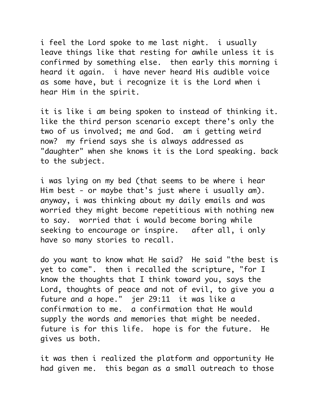i feel the Lord spoke to me last night. i usually leave things like that resting for awhile unless it is confirmed by something else. then early this morning i heard it again. i have never heard His audible voice as some have, but i recognize it is the Lord when i hear Him in the spirit.

it is like i am being spoken to instead of thinking it. like the third person scenario except there's only the two of us involved; me and God. am i getting weird now? my friend says she is always addressed as "daughter" when she knows it is the Lord speaking. back to the subject.

i was lying on my bed (that seems to be where i hear Him best - or maybe that's just where i usually am). anyway, i was thinking about my daily emails and was worried they might become repetitious with nothing new to say. worried that i would become boring while seeking to encourage or inspire. after all, i only have so many stories to recall.

do you want to know what He said? He said "the best is yet to come". then i recalled the scripture, "for I know the thoughts that I think toward you, says the Lord, thoughts of peace and not of evil, to give you a future and a hope." jer 29:11 it was like a confirmation to me. a confirmation that He would supply the words and memories that might be needed. future is for this life. hope is for the future. He gives us both.

it was then i realized the platform and opportunity He had given me. this began as a small outreach to those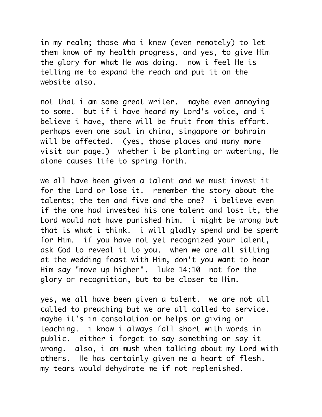in my realm; those who i knew (even remotely) to let them know of my health progress, and yes, to give Him the glory for what He was doing. now i feel He is telling me to expand the reach and put it on the website also.

not that i am some great writer. maybe even annoying to some. but if i have heard my Lord's voice, and i believe i have, there will be fruit from this effort. perhaps even one soul in china, singapore or bahrain will be affected. (yes, those places and many more visit our page.) whether i be planting or watering, He alone causes life to spring forth.

we all have been given a talent and we must invest it for the Lord or lose it. remember the story about the talents; the ten and five and the one? i believe even if the one had invested his one talent and lost it, the Lord would not have punished him. i might be wrong but that is what i think. i will gladly spend and be spent for Him. if you have not yet recognized your talent, ask God to reveal it to you. when we are all sitting at the wedding feast with Him, don't you want to hear Him say "move up higher". luke 14:10 not for the glory or recognition, but to be closer to Him.

yes, we all have been given a talent. we are not all called to preaching but we are all called to service. maybe it's in consolation or helps or giving or teaching. i know i always fall short with words in public. either i forget to say something or say it wrong. also, i am mush when talking about my Lord with others. He has certainly given me a heart of flesh. my tears would dehydrate me if not replenished.